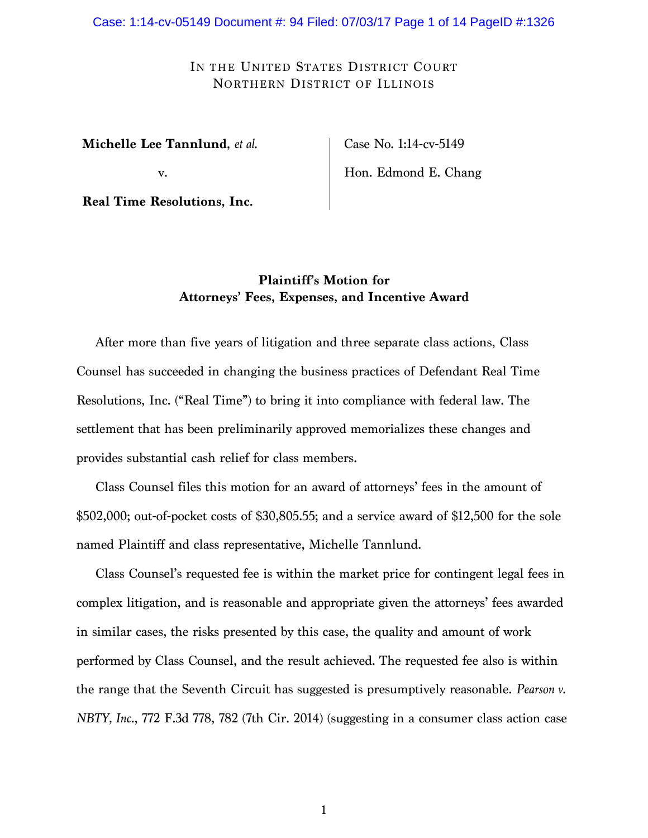# IN THE UNITED STATES DISTRICT COURT NORTHERN DISTRICT OF ILLINOIS

**Michelle Lee Tannlund**, *et al*.

v.

**Real Time Resolutions, Inc.**

Case No. 1:14-cv-5149 Hon. Edmond E. Chang

# **Plaintiff's Motion for Attorneys' Fees, Expenses, and Incentive Award**

After more than five years of litigation and three separate class actions, Class Counsel has succeeded in changing the business practices of Defendant Real Time Resolutions, Inc. ("Real Time") to bring it into compliance with federal law. The settlement that has been preliminarily approved memorializes these changes and provides substantial cash relief for class members.

Class Counsel files this motion for an award of attorneys' fees in the amount of \$502,000; out-of-pocket costs of \$30,805.55; and a service award of \$12,500 for the sole named Plaintiff and class representative, Michelle Tannlund.

Class Counsel's requested fee is within the market price for contingent legal fees in complex litigation, and is reasonable and appropriate given the attorneys' fees awarded in similar cases, the risks presented by this case, the quality and amount of work performed by Class Counsel, and the result achieved. The requested fee also is within the range that the Seventh Circuit has suggested is presumptively reasonable. *Pearson v. NBTY, Inc*., 772 F.3d 778, 782 (7th Cir. 2014) (suggesting in a consumer class action case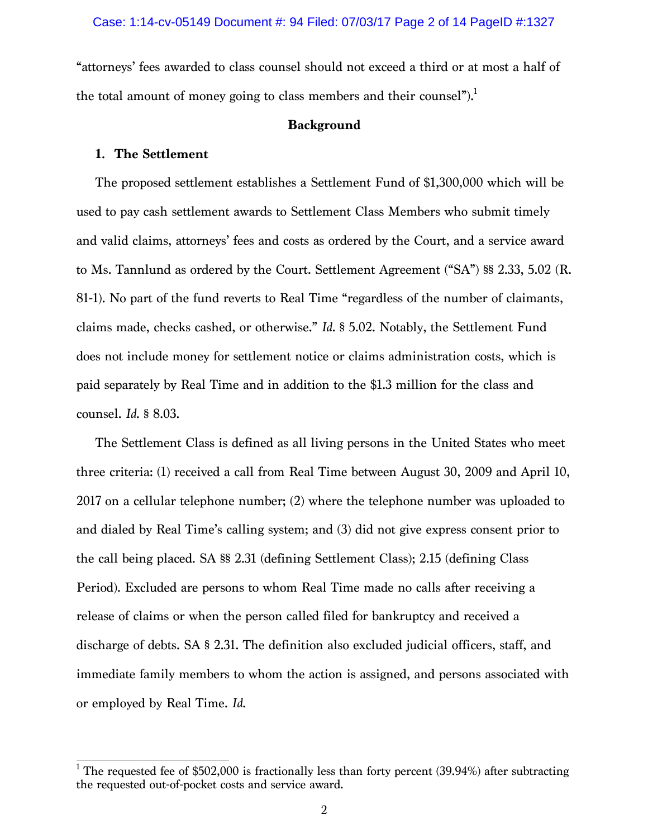"attorneys' fees awarded to class counsel should not exceed a third or at most a half of the total amount of money going to class members and their counsel").<sup>1</sup>

#### **Background**

## **1. The Settlement**

The proposed settlement establishes a Settlement Fund of \$1,300,000 which will be used to pay cash settlement awards to Settlement Class Members who submit timely and valid claims, attorneys' fees and costs as ordered by the Court, and a service award to Ms. Tannlund as ordered by the Court. Settlement Agreement ("SA") §§ 2.33, 5.02 (R. 81-1). No part of the fund reverts to Real Time "regardless of the number of claimants, claims made, checks cashed, or otherwise." *Id*. § 5.02. Notably, the Settlement Fund does not include money for settlement notice or claims administration costs, which is paid separately by Real Time and in addition to the \$1.3 million for the class and counsel. *Id*. § 8.03.

The Settlement Class is defined as all living persons in the United States who meet three criteria: (1) received a call from Real Time between August 30, 2009 and April 10, 2017 on a cellular telephone number; (2) where the telephone number was uploaded to and dialed by Real Time's calling system; and (3) did not give express consent prior to the call being placed. SA §§ 2.31 (defining Settlement Class); 2.15 (defining Class Period). Excluded are persons to whom Real Time made no calls after receiving a release of claims or when the person called filed for bankruptcy and received a discharge of debts. SA § 2.31. The definition also excluded judicial officers, staff, and immediate family members to whom the action is assigned, and persons associated with or employed by Real Time. *Id*.

<sup>&</sup>lt;sup>1</sup> The requested fee of \$502,000 is fractionally less than forty percent (39.94%) after subtracting the requested out-of-pocket costs and service award.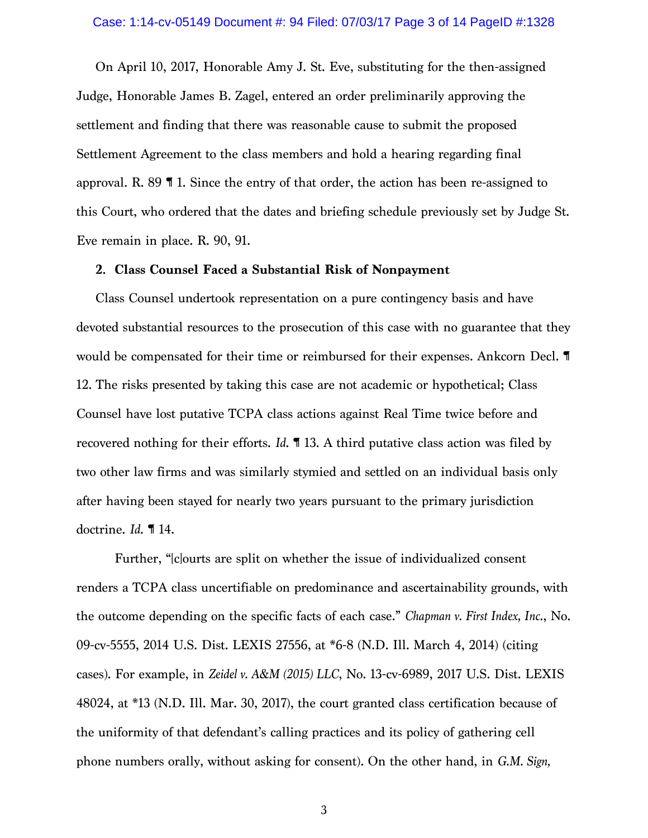#### Case: 1:14-cv-05149 Document #: 94 Filed: 07/03/17 Page 3 of 14 PageID #:1328

On April 10, 2017, Honorable Amy J. St. Eve, substituting for the then-assigned Judge, Honorable James B. Zagel, entered an order preliminarily approving the settlement and finding that there was reasonable cause to submit the proposed Settlement Agreement to the class members and hold a hearing regarding final approval. R. 89 ¶ 1. Since the entry of that order, the action has been re-assigned to this Court, who ordered that the dates and briefing schedule previously set by Judge St. Eve remain in place. R. 90, 91.

#### **2. Class Counsel Faced a Substantial Risk of Nonpayment**

Class Counsel undertook representation on a pure contingency basis and have devoted substantial resources to the prosecution of this case with no guarantee that they would be compensated for their time or reimbursed for their expenses. Ankcorn Decl. ¶ 12. The risks presented by taking this case are not academic or hypothetical; Class Counsel have lost putative TCPA class actions against Real Time twice before and recovered nothing for their efforts. *Id*. ¶ 13. A third putative class action was filed by two other law firms and was similarly stymied and settled on an individual basis only after having been stayed for nearly two years pursuant to the primary jurisdiction doctrine. *Id*. ¶ 14.

Further, "[c]ourts are split on whether the issue of individualized consent renders a TCPA class uncertifiable on predominance and ascertainability grounds, with the outcome depending on the specific facts of each case." *Chapman v. First Index, Inc*., No. 09-cv-5555, 2014 U.S. Dist. LEXIS 27556, at \*6-8 (N.D. Ill. March 4, 2014) (citing cases). For example, in *Zeidel v. A&M (2015) LLC*, No. 13-cv-6989, 2017 U.S. Dist. LEXIS 48024, at \*13 (N.D. Ill. Mar. 30, 2017), the court granted class certification because of the uniformity of that defendant's calling practices and its policy of gathering cell phone numbers orally, without asking for consent). On the other hand, in *G.M. Sign,*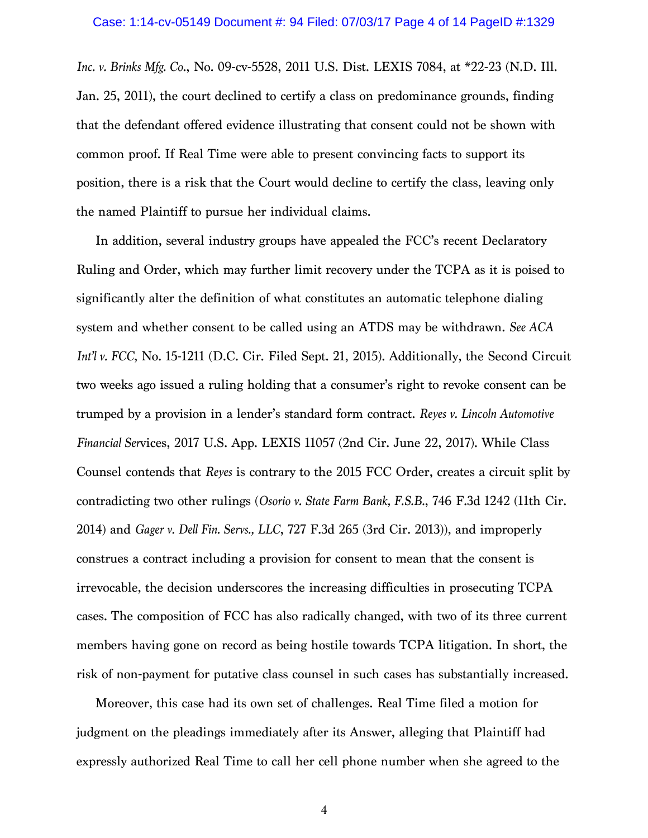*Inc. v. Brinks Mfg. Co*., No. 09-cv-5528, 2011 U.S. Dist. LEXIS 7084, at \*22-23 (N.D. Ill. Jan. 25, 2011), the court declined to certify a class on predominance grounds, finding that the defendant offered evidence illustrating that consent could not be shown with common proof. If Real Time were able to present convincing facts to support its position, there is a risk that the Court would decline to certify the class, leaving only the named Plaintiff to pursue her individual claims.

In addition, several industry groups have appealed the FCC's recent Declaratory Ruling and Order, which may further limit recovery under the TCPA as it is poised to significantly alter the definition of what constitutes an automatic telephone dialing system and whether consent to be called using an ATDS may be withdrawn. *See ACA Int'l v. FCC*, No. 15-1211 (D.C. Cir. Filed Sept. 21, 2015). Additionally, the Second Circuit two weeks ago issued a ruling holding that a consumer's right to revoke consent can be trumped by a provision in a lender's standard form contract. *Reyes v. Lincoln Automotive Financial Ser*vices, 2017 U.S. App. LEXIS 11057 (2nd Cir. June 22, 2017). While Class Counsel contends that *Reyes* is contrary to the 2015 FCC Order, creates a circuit split by contradicting two other rulings (*Osorio v. State Farm Bank, F.S.B.*, 746 F.3d 1242 (11th Cir. 2014) and *Gager v. Dell Fin. Servs., LLC*, 727 F.3d 265 (3rd Cir. 2013)), and improperly construes a contract including a provision for consent to mean that the consent is irrevocable, the decision underscores the increasing difficulties in prosecuting TCPA cases. The composition of FCC has also radically changed, with two of its three current members having gone on record as being hostile towards TCPA litigation. In short, the risk of non-payment for putative class counsel in such cases has substantially increased.

Moreover, this case had its own set of challenges. Real Time filed a motion for judgment on the pleadings immediately after its Answer, alleging that Plaintiff had expressly authorized Real Time to call her cell phone number when she agreed to the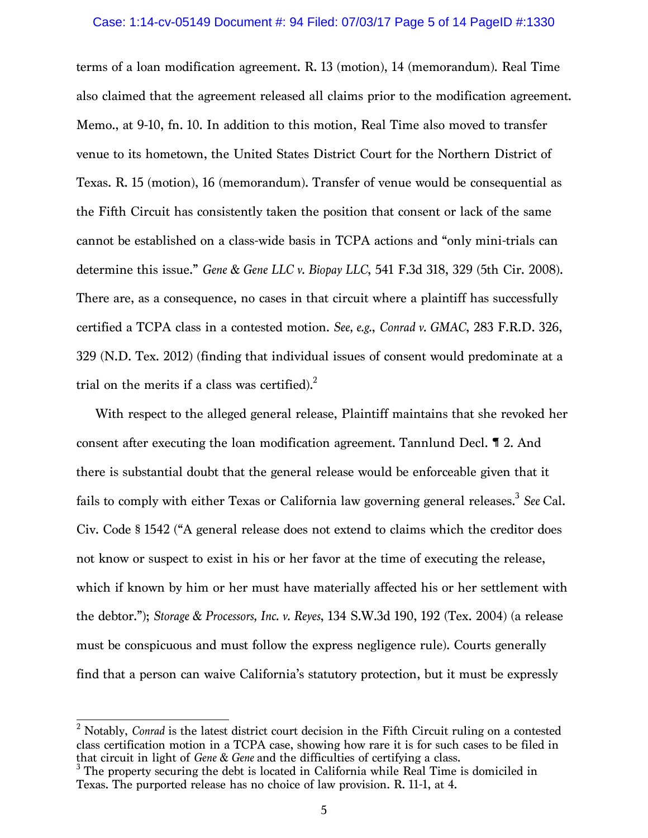#### Case: 1:14-cv-05149 Document #: 94 Filed: 07/03/17 Page 5 of 14 PageID #:1330

terms of a loan modification agreement. R. 13 (motion), 14 (memorandum). Real Time also claimed that the agreement released all claims prior to the modification agreement. Memo., at 9-10, fn. 10. In addition to this motion, Real Time also moved to transfer venue to its hometown, the United States District Court for the Northern District of Texas. R. 15 (motion), 16 (memorandum). Transfer of venue would be consequential as the Fifth Circuit has consistently taken the position that consent or lack of the same cannot be established on a class-wide basis in TCPA actions and "only mini-trials can determine this issue." *Gene & Gene LLC v. Biopay LLC*, 541 F.3d 318, 329 (5th Cir. 2008). There are, as a consequence, no cases in that circuit where a plaintiff has successfully certified a TCPA class in a contested motion. *See, e.g.*, *Conrad v. GMAC*, 283 F.R.D. 326, 329 (N.D. Tex. 2012) (finding that individual issues of consent would predominate at a trial on the merits if a class was certified). $^{2}$ 

With respect to the alleged general release, Plaintiff maintains that she revoked her consent after executing the loan modification agreement. Tannlund Decl. ¶ 2. And there is substantial doubt that the general release would be enforceable given that it fails to comply with either Texas or California law governing general releases.<sup>3</sup> See Cal. Civ. Code § 1542 ("A general release does not extend to claims which the creditor does not know or suspect to exist in his or her favor at the time of executing the release, which if known by him or her must have materially affected his or her settlement with the debtor."); *Storage & Processors, Inc. v. Reyes*, 134 S.W.3d 190, 192 (Tex. 2004) (a release must be conspicuous and must follow the express negligence rule). Courts generally find that a person can waive California's statutory protection, but it must be expressly

<sup>&</sup>lt;sup>2</sup> Notably, *Conrad* is the latest district court decision in the Fifth Circuit ruling on a contested class certification motion in a TCPA case, showing how rare it is for such cases to be filed in that circuit in light of *Gene* & *Gene* and the difficulties of certifying a class.

<sup>&</sup>lt;sup>3</sup> The property securing the debt is located in California while Real Time is domiciled in Texas. The purported release has no choice of law provision. R. 11-1, at 4.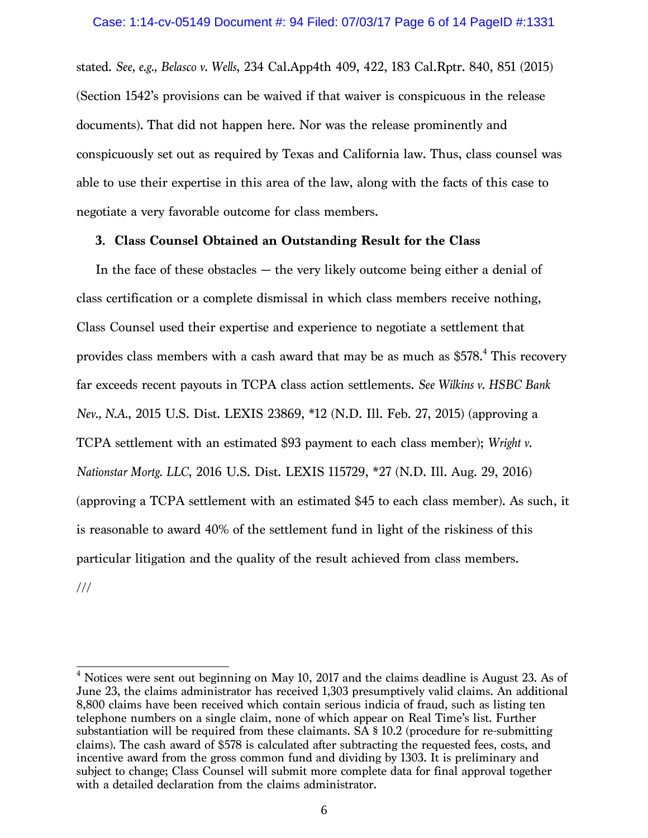stated. *See, e.g., Belasco v. Wells*, 234 Cal.App4th 409, 422, 183 Cal.Rptr. 840, 851 (2015) (Section 1542's provisions can be waived if that waiver is conspicuous in the release documents). That did not happen here. Nor was the release prominently and conspicuously set out as required by Texas and California law. Thus, class counsel was able to use their expertise in this area of the law, along with the facts of this case to negotiate a very favorable outcome for class members.

## **3. Class Counsel Obtained an Outstanding Result for the Class**

In the face of these obstacles — the very likely outcome being either a denial of class certification or a complete dismissal in which class members receive nothing, Class Counsel used their expertise and experience to negotiate a settlement that provides class members with a cash award that may be as much as \$578. <sup>4</sup> This recovery far exceeds recent payouts in TCPA class action settlements. *See Wilkins v. HSBC Bank Nev., N.A.*, 2015 U.S. Dist. LEXIS 23869, \*12 (N.D. Ill. Feb. 27, 2015) (approving a TCPA settlement with an estimated \$93 payment to each class member); *Wright v. Nationstar Mortg. LLC*, 2016 U.S. Dist. LEXIS 115729, \*27 (N.D. Ill. Aug. 29, 2016) (approving a TCPA settlement with an estimated \$45 to each class member). As such, it is reasonable to award 40% of the settlement fund in light of the riskiness of this particular litigation and the quality of the result achieved from class members. ///

 $4$  Notices were sent out beginning on May 10, 2017 and the claims deadline is August 23. As of June 23, the claims administrator has received 1,303 presumptively valid claims. An additional 8,800 claims have been received which contain serious indicia of fraud, such as listing ten telephone numbers on a single claim, none of which appear on Real Time's list. Further substantiation will be required from these claimants. SA § 10.2 (procedure for re-submitting claims). The cash award of \$578 is calculated after subtracting the requested fees, costs, and incentive award from the gross common fund and dividing by 1303. It is preliminary and subject to change; Class Counsel will submit more complete data for final approval together with a detailed declaration from the claims administrator.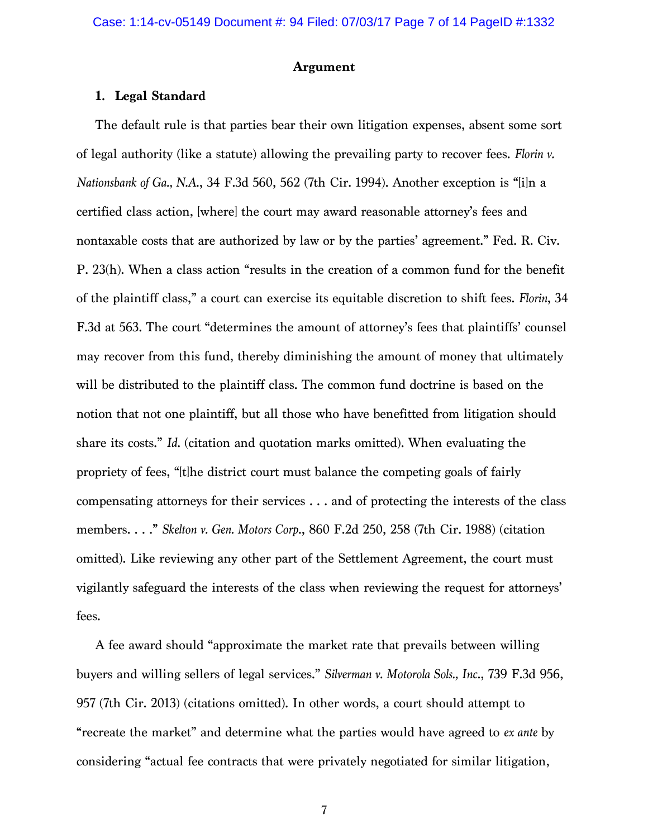### **Argument**

# **1. Legal Standard**

The default rule is that parties bear their own litigation expenses, absent some sort of legal authority (like a statute) allowing the prevailing party to recover fees. *Florin v. Nationsbank of Ga., N.A*., 34 F.3d 560, 562 (7th Cir. 1994). Another exception is "[i]n a certified class action, [where] the court may award reasonable attorney's fees and nontaxable costs that are authorized by law or by the parties' agreement." Fed. R. Civ. P. 23(h). When a class action "results in the creation of a common fund for the benefit of the plaintiff class," a court can exercise its equitable discretion to shift fees. *Florin*, 34 F.3d at 563. The court "determines the amount of attorney's fees that plaintiffs' counsel may recover from this fund, thereby diminishing the amount of money that ultimately will be distributed to the plaintiff class. The common fund doctrine is based on the notion that not one plaintiff, but all those who have benefitted from litigation should share its costs." *Id*. (citation and quotation marks omitted). When evaluating the propriety of fees, "[t]he district court must balance the competing goals of fairly compensating attorneys for their services . . . and of protecting the interests of the class members. . . ." *Skelton v. Gen. Motors Corp*., 860 F.2d 250, 258 (7th Cir. 1988) (citation omitted). Like reviewing any other part of the Settlement Agreement, the court must vigilantly safeguard the interests of the class when reviewing the request for attorneys' fees.

A fee award should "approximate the market rate that prevails between willing buyers and willing sellers of legal services." *Silverman v. Motorola Sols., Inc*., 739 F.3d 956, 957 (7th Cir. 2013) (citations omitted). In other words, a court should attempt to "recreate the market" and determine what the parties would have agreed to *ex ante* by considering "actual fee contracts that were privately negotiated for similar litigation,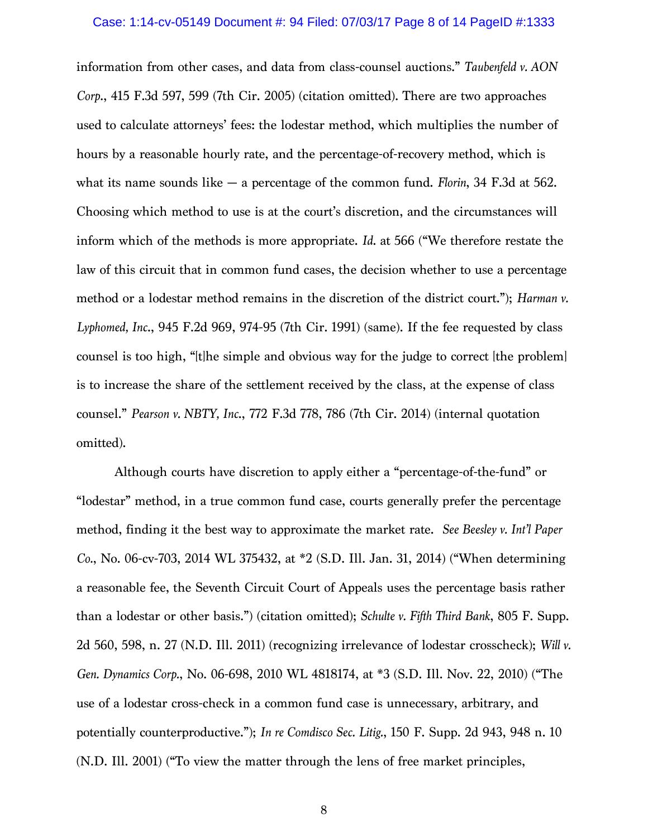#### Case: 1:14-cv-05149 Document #: 94 Filed: 07/03/17 Page 8 of 14 PageID #:1333

information from other cases, and data from class-counsel auctions." *Taubenfeld v. AON Corp*., 415 F.3d 597, 599 (7th Cir. 2005) (citation omitted). There are two approaches used to calculate attorneys' fees: the lodestar method, which multiplies the number of hours by a reasonable hourly rate, and the percentage-of-recovery method, which is what its name sounds like — a percentage of the common fund. *Florin*, 34 F.3d at 562. Choosing which method to use is at the court's discretion, and the circumstances will inform which of the methods is more appropriate. *Id*. at 566 ("We therefore restate the law of this circuit that in common fund cases, the decision whether to use a percentage method or a lodestar method remains in the discretion of the district court."); *Harman v. Lyphomed, Inc*., 945 F.2d 969, 974-95 (7th Cir. 1991) (same). If the fee requested by class counsel is too high, "[t]he simple and obvious way for the judge to correct [the problem] is to increase the share of the settlement received by the class, at the expense of class counsel." *Pearson v. NBTY, Inc*., 772 F.3d 778, 786 (7th Cir. 2014) (internal quotation omitted).

Although courts have discretion to apply either a "percentage-of-the-fund" or "lodestar" method, in a true common fund case, courts generally prefer the percentage method, finding it the best way to approximate the market rate. *See Beesley v. Int'l Paper Co.*, No. 06-cv-703, 2014 WL 375432, at \*2 (S.D. Ill. Jan. 31, 2014) ("When determining a reasonable fee, the Seventh Circuit Court of Appeals uses the percentage basis rather than a lodestar or other basis.") (citation omitted); *Schulte v. Fifth Third Bank*, 805 F. Supp. 2d 560, 598, n. 27 (N.D. Ill. 2011) (recognizing irrelevance of lodestar crosscheck); *Will v. Gen. Dynamics Corp.*, No. 06-698, 2010 WL 4818174, at \*3 (S.D. Ill. Nov. 22, 2010) ("The use of a lodestar cross-check in a common fund case is unnecessary, arbitrary, and potentially counterproductive."); *In re Comdisco Sec. Litig.*, 150 F. Supp. 2d 943, 948 n. 10 (N.D. Ill. 2001) ("To view the matter through the lens of free market principles,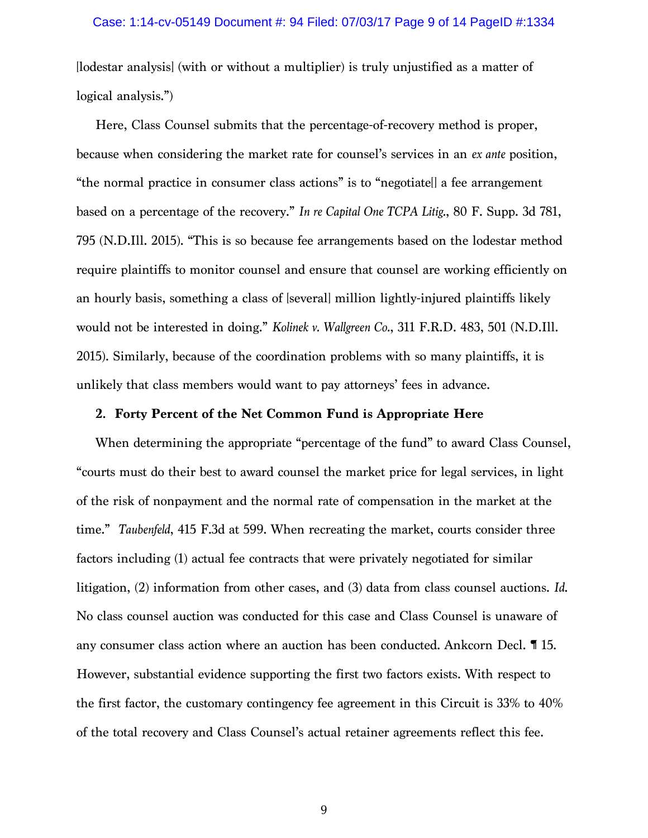[lodestar analysis] (with or without a multiplier) is truly unjustified as a matter of logical analysis.")

Here, Class Counsel submits that the percentage-of-recovery method is proper, because when considering the market rate for counsel's services in an *ex ante* position, "the normal practice in consumer class actions" is to "negotiate[] a fee arrangement based on a percentage of the recovery." *In re Capital One TCPA Litig.*, 80 F. Supp. 3d 781, 795 (N.D.Ill. 2015). "This is so because fee arrangements based on the lodestar method require plaintiffs to monitor counsel and ensure that counsel are working efficiently on an hourly basis, something a class of [several] million lightly-injured plaintiffs likely would not be interested in doing." *Kolinek v. Wallgreen Co.*, 311 F.R.D. 483, 501 (N.D.Ill. 2015). Similarly, because of the coordination problems with so many plaintiffs, it is unlikely that class members would want to pay attorneys' fees in advance.

## **2. Forty Percent of the Net Common Fund is Appropriate Here**

When determining the appropriate "percentage of the fund" to award Class Counsel, "courts must do their best to award counsel the market price for legal services, in light of the risk of nonpayment and the normal rate of compensation in the market at the time." *Taubenfeld*, 415 F.3d at 599. When recreating the market, courts consider three factors including (1) actual fee contracts that were privately negotiated for similar litigation, (2) information from other cases, and (3) data from class counsel auctions. *Id*. No class counsel auction was conducted for this case and Class Counsel is unaware of any consumer class action where an auction has been conducted. Ankcorn Decl. ¶ 15. However, substantial evidence supporting the first two factors exists. With respect to the first factor, the customary contingency fee agreement in this Circuit is 33% to 40% of the total recovery and Class Counsel's actual retainer agreements reflect this fee.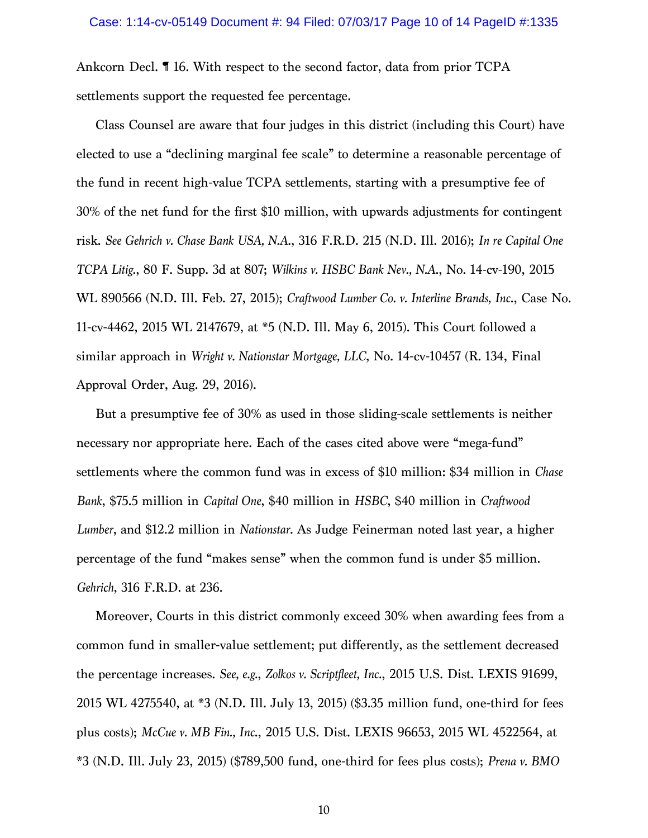Ankcorn Decl. ¶ 16. With respect to the second factor, data from prior TCPA settlements support the requested fee percentage.

Class Counsel are aware that four judges in this district (including this Court) have elected to use a "declining marginal fee scale" to determine a reasonable percentage of the fund in recent high-value TCPA settlements, starting with a presumptive fee of 30% of the net fund for the first \$10 million, with upwards adjustments for contingent risk. *See Gehrich v. Chase Bank USA, N.A*., 316 F.R.D. 215 (N.D. Ill. 2016); *In re Capital One TCPA Litig*., 80 F. Supp. 3d at 807; *Wilkins v. HSBC Bank Nev., N.A*., No. 14-cv-190, 2015 WL 890566 (N.D. Ill. Feb. 27, 2015); *Craftwood Lumber Co. v. Interline Brands, Inc*., Case No. 11-cv-4462, 2015 WL 2147679, at \*5 (N.D. Ill. May 6, 2015). This Court followed a similar approach in *Wright v. Nationstar Mortgage, LLC*, No. 14-cv-10457 (R. 134, Final Approval Order, Aug. 29, 2016).

But a presumptive fee of 30% as used in those sliding-scale settlements is neither necessary nor appropriate here. Each of the cases cited above were "mega-fund" settlements where the common fund was in excess of \$10 million: \$34 million in *Chase Bank*, \$75.5 million in *Capital One*, \$40 million in *HSBC*, \$40 million in *Craftwood Lumber*, and \$12.2 million in *Nationstar*. As Judge Feinerman noted last year, a higher percentage of the fund "makes sense" when the common fund is under \$5 million. *Gehrich*, 316 F.R.D. at 236.

Moreover, Courts in this district commonly exceed 30% when awarding fees from a common fund in smaller-value settlement; put differently, as the settlement decreased the percentage increases. *See, e.g.*, *Zolkos v. Scriptfleet, Inc.*, 2015 U.S. Dist. LEXIS 91699, 2015 WL 4275540, at \*3 (N.D. Ill. July 13, 2015) (\$3.35 million fund, one-third for fees plus costs); *McCue v. MB Fin., Inc*., 2015 U.S. Dist. LEXIS 96653, 2015 WL 4522564, at \*3 (N.D. Ill. July 23, 2015) (\$789,500 fund, one-third for fees plus costs); *Prena v. BMO*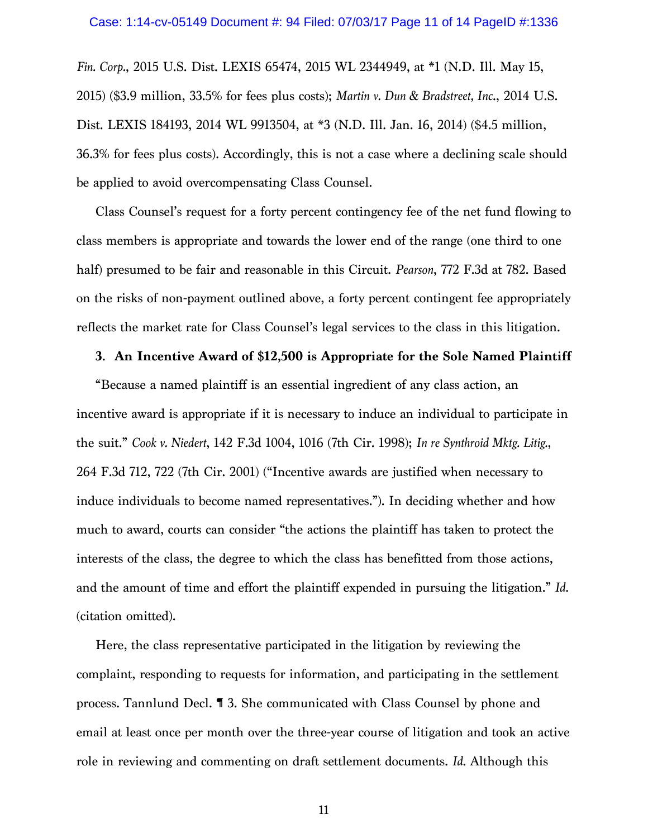*Fin. Corp.*, 2015 U.S. Dist. LEXIS 65474, 2015 WL 2344949, at \*1 (N.D. Ill. May 15, 2015) (\$3.9 million, 33.5% for fees plus costs); *Martin v. Dun & Bradstreet, Inc*., 2014 U.S. Dist. LEXIS 184193, 2014 WL 9913504, at \*3 (N.D. Ill. Jan. 16, 2014) (\$4.5 million, 36.3% for fees plus costs). Accordingly, this is not a case where a declining scale should be applied to avoid overcompensating Class Counsel.

Class Counsel's request for a forty percent contingency fee of the net fund flowing to class members is appropriate and towards the lower end of the range (one third to one half) presumed to be fair and reasonable in this Circuit. *Pearson*, 772 F.3d at 782. Based on the risks of non-payment outlined above, a forty percent contingent fee appropriately reflects the market rate for Class Counsel's legal services to the class in this litigation.

### **3. An Incentive Award of \$12,500 is Appropriate for the Sole Named Plaintiff**

"Because a named plaintiff is an essential ingredient of any class action, an incentive award is appropriate if it is necessary to induce an individual to participate in the suit." *Cook v. Niedert*, 142 F.3d 1004, 1016 (7th Cir. 1998); *In re Synthroid Mktg. Litig.*, 264 F.3d 712, 722 (7th Cir. 2001) ("Incentive awards are justified when necessary to induce individuals to become named representatives."). In deciding whether and how much to award, courts can consider "the actions the plaintiff has taken to protect the interests of the class, the degree to which the class has benefitted from those actions, and the amount of time and effort the plaintiff expended in pursuing the litigation." *Id*. (citation omitted).

Here, the class representative participated in the litigation by reviewing the complaint, responding to requests for information, and participating in the settlement process. Tannlund Decl. ¶ 3. She communicated with Class Counsel by phone and email at least once per month over the three-year course of litigation and took an active role in reviewing and commenting on draft settlement documents. *Id*. Although this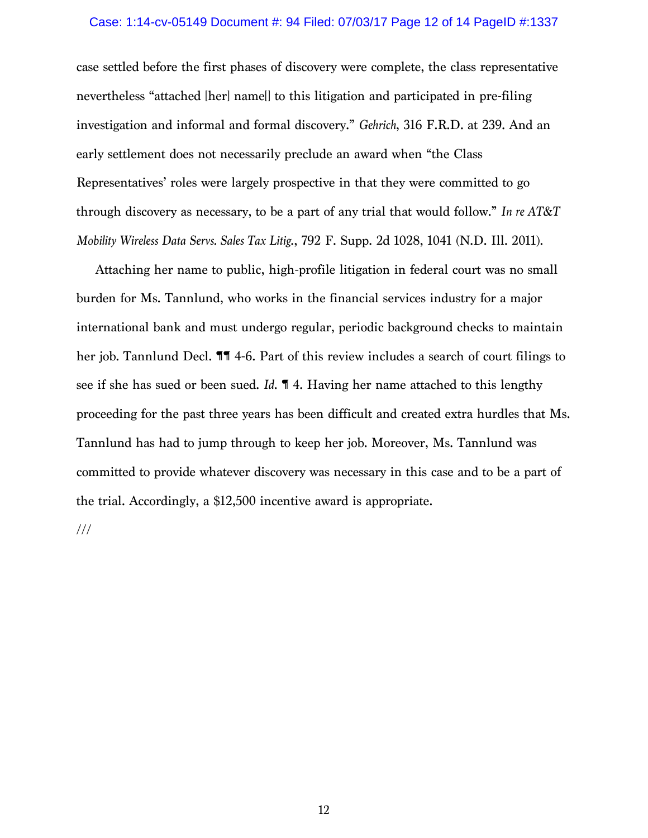### Case: 1:14-cv-05149 Document #: 94 Filed: 07/03/17 Page 12 of 14 PageID #:1337

case settled before the first phases of discovery were complete, the class representative nevertheless "attached [her] name[] to this litigation and participated in pre-filing investigation and informal and formal discovery." *Gehrich*, 316 F.R.D. at 239. And an early settlement does not necessarily preclude an award when "the Class Representatives' roles were largely prospective in that they were committed to go through discovery as necessary, to be a part of any trial that would follow." *In re AT&T Mobility Wireless Data Servs. Sales Tax Litig*., 792 F. Supp. 2d 1028, 1041 (N.D. Ill. 2011).

Attaching her name to public, high-profile litigation in federal court was no small burden for Ms. Tannlund, who works in the financial services industry for a major international bank and must undergo regular, periodic background checks to maintain her job. Tannlund Decl. **11** 4-6. Part of this review includes a search of court filings to see if she has sued or been sued. *Id*. ¶ 4. Having her name attached to this lengthy proceeding for the past three years has been difficult and created extra hurdles that Ms. Tannlund has had to jump through to keep her job. Moreover, Ms. Tannlund was committed to provide whatever discovery was necessary in this case and to be a part of the trial. Accordingly, a \$12,500 incentive award is appropriate.

///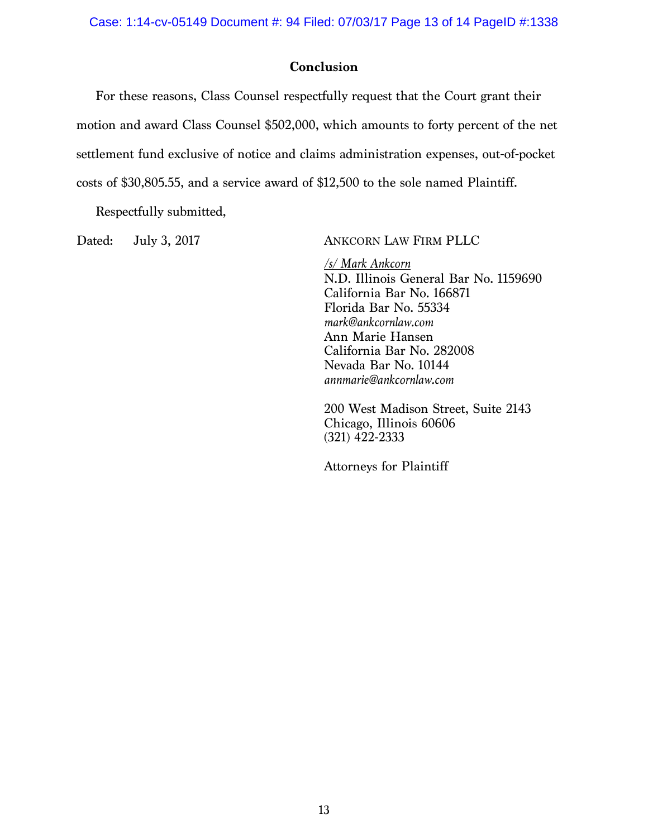Case: 1:14-cv-05149 Document #: 94 Filed: 07/03/17 Page 13 of 14 PageID #:1338

# **Conclusion**

For these reasons, Class Counsel respectfully request that the Court grant their motion and award Class Counsel \$502,000, which amounts to forty percent of the net settlement fund exclusive of notice and claims administration expenses, out-of-pocket costs of \$30,805.55, and a service award of \$12,500 to the sole named Plaintiff.

Respectfully submitted,

Dated: July 3, 2017 ANKCORN LAW FIRM PLLC

*/s/ Mark Ankcorn* N.D. Illinois General Bar No. 1159690 California Bar No. 166871 Florida Bar No. 55334 *mark@ankcornlaw.com* Ann Marie Hansen California Bar No. 282008 Nevada Bar No. 10144 *annmarie@ankcornlaw.com*

200 West Madison Street, Suite 2143 Chicago, Illinois 60606 (321) 422-2333

Attorneys for Plaintiff